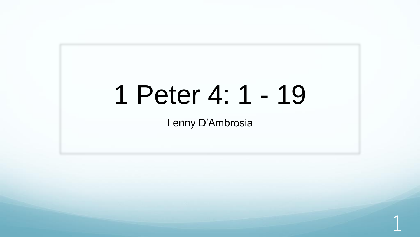# 1 Peter 4: 1 - 19

Lenny D'Ambrosia

1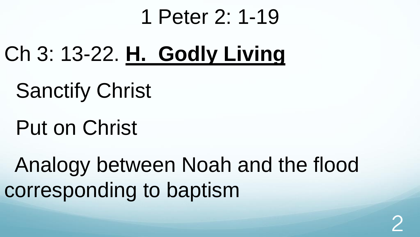#### 1 Peter 2: 1-19

- Ch 3: 13-22. **H. Godly Living**
	- Sanctify Christ
	- Put on Christ

Analogy between Noah and the flood corresponding to baptism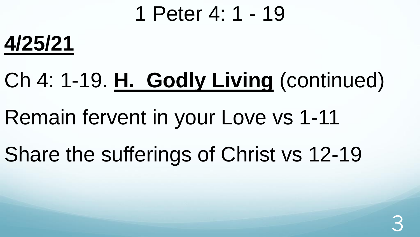#### 1 Peter 4: 1 - 19



# Ch 4: 1-19. **H. Godly Living** (continued)

- Remain fervent in your Love vs 1-11
- Share the sufferings of Christ vs 12-19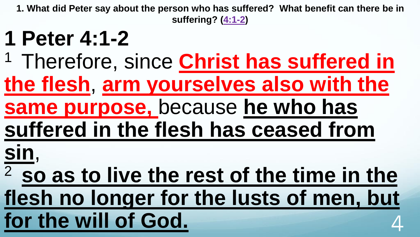#### **1 Peter 4:1-2**

- <sup>1</sup> Therefore, since **Christ has suffered in**
- **the flesh**, **arm yourselves also with the**
- **same purpose,** because **he who has**
- **suffered in the flesh has ceased from**
- **sin**,
- <sup>2</sup>**so as to live the rest of the time in the flesh no longer for the lusts of men, but**  for the will of God.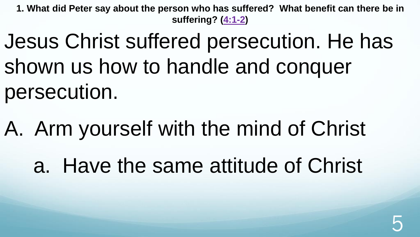Jesus Christ suffered persecution. He has shown us how to handle and conquer persecution.

A. Arm yourself with the mind of Christ

a. Have the same attitude of Christ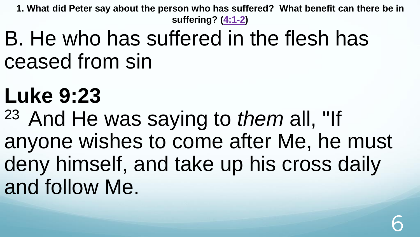B. He who has suffered in the flesh has ceased from sin

# **Luke 9:23**

<sup>23</sup> And He was saying to *them* all, "If anyone wishes to come after Me, he must deny himself, and take up his cross daily and follow Me.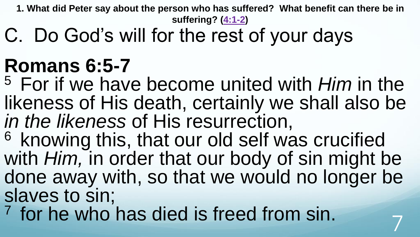C. Do God's will for the rest of your days

### **Romans 6:5-7**

<sup>5</sup>For if we have become united with *Him* in the likeness of His death, certainly we shall also be *in the likeness* of His resurrection,

<sup>6</sup> knowing this, that our old self was crucified with *Him,* in order that our body of sin might be done away with, so that we would no longer be slaves to sin;

<sup>7</sup> for he who has died is freed from sin.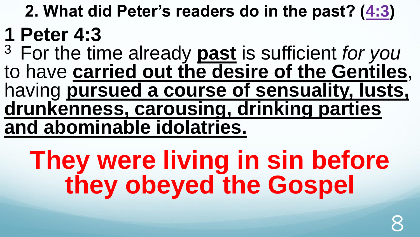**2. What did Peter's readers do in the past? ([4:3\)](http://www.crossbooks.com/verse.asp?ref=1Pe+4%3A3)**

### **1 Peter 4:3**

<sup>3</sup>For the time already **past** is sufficient *for you* to have **carried out the desire of the Gentiles**, having **pursued a course of sensuality, lusts, drunkenness, carousing, drinking parties and abominable idolatries.** 

# **They were living in sin before they obeyed the Gospel**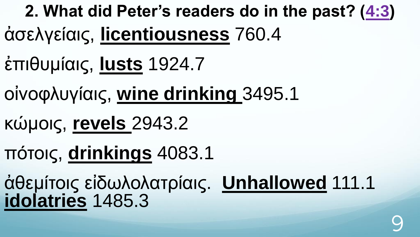**2. What did Peter's readers do in the past? ([4:3\)](http://www.crossbooks.com/verse.asp?ref=1Pe+4%3A3)** ἀσελγείαις, **licentiousness** 760.4

- ἐπιθυμίαις, **lusts** 1924.7
- οἰνοφλυγίαις, **wine drinking** 3495.1
- κώμοις, **revels** 2943.2
- πότοις, **drinkings** 4083.1
- ἀθεμίτοις εἰδωλολατρίαις. **Unhallowed** 111.1 **idolatries** 1485.3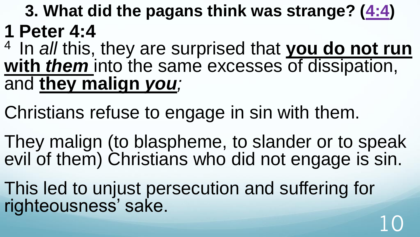**3. What did the pagans think was strange? ([4:4\)](http://www.crossbooks.com/verse.asp?ref=1Pe+4%3A4) 1 Peter 4:4**

<sup>4</sup> In *all* this, they are surprised that you do not run **with** *them* into the same excesses of dissipation, and **they malign** *you;*

Christians refuse to engage in sin with them.

They malign (to blaspheme, to slander or to speak evil of them) Christians who did not engage is sin.

10

This led to unjust persecution and suffering for righteousness' sake.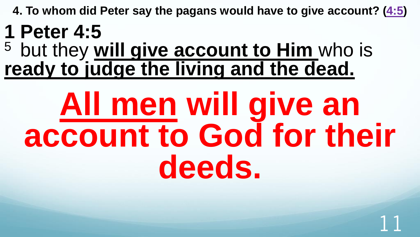**4. To whom did Peter say the pagans would have to give account? [\(4:5\)](http://www.crossbooks.com/verse.asp?ref=1Pe+4%3A5)**

#### **1 Peter 4:5**

<sup>5</sup> but they **will give account to Him** who is **ready to judge the living and the dead.** 

# **All men will give an account to God for their deeds.**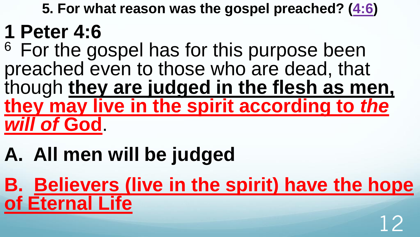**5. For what reason was the gospel preached? [\(4:6](http://www.crossbooks.com/verse.asp?ref=1Pe+4%3A6))**

#### **1 Peter 4:6**

<sup>6</sup> For the gospel has for this purpose been preached even to those who are dead, that though **they are judged in the flesh as men, they may live in the spirit according to** *the will of* **God**.

# **A. All men will be judged**

**B. Believers (live in the spirit) have the hope of Eternal Life** 12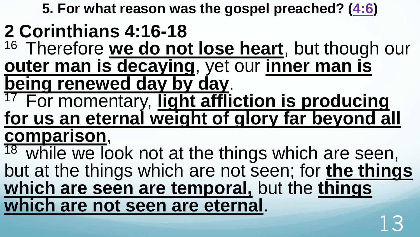**5. For what reason was the gospel preached? [\(4:6](http://www.crossbooks.com/verse.asp?ref=1Pe+4%3A6))**

#### **2 Corinthians 4:16-18**

- <sup>16</sup> Therefore we do not lose heart, but though our **outer man is decaying**, yet our **inner man is being renewed day by day**.
- <sup>17</sup> For momentary, light affliction is producing **for us an eternal weight of glory far beyond all comparison**,

 $18$  while we look not at the things which are seen, but at the things which are not seen; for **the things which are seen are temporal,** but the **things which are not seen are eternal**. 13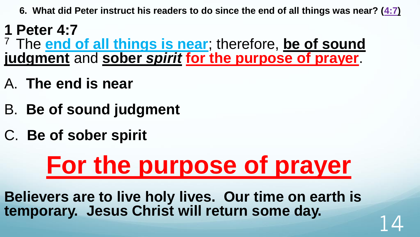**6. What did Peter instruct his readers to do since the end of all things was near? ([4:7\)](http://www.crossbooks.com/verse.asp?ref=1Pe+4%3A7)**

**1 Peter 4:7** <sup>7</sup>The **end of all things is near**; therefore, **be of sound judgment** and **sober** *spirit* **for the purpose of prayer**.

- A. **The end is near**
- B. **Be of sound judgment**
- C. **Be of sober spirit**

# **For the purpose of prayer**

**Believers are to live holy lives. Our time on earth is**  temporary. Jesus Christ will return some day.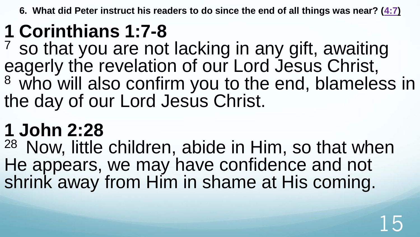**6. What did Peter instruct his readers to do since the end of all things was near? ([4:7\)](http://www.crossbooks.com/verse.asp?ref=1Pe+4%3A7)**

### **1 Corinthians 1:7-8**

 $7$  so that you are not lacking in any gift, awaiting eagerly the revelation of our Lord Jesus Christ, <sup>8</sup> who will also confirm you to the end, blameless in the day of our Lord Jesus Christ.

#### **1 John 2:28**

<sup>28</sup> Now, little children, abide in Him, so that when He appears, we may have confidence and not shrink away from Him in shame at His coming.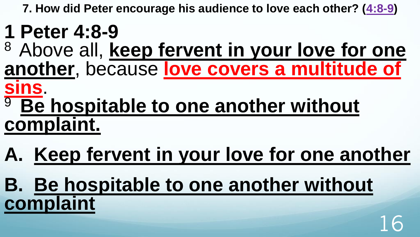**7. How did Peter encourage his audience to love each other? ([4:8-9](http://www.crossbooks.com/verse.asp?ref=1Pe+4%3A8-9))**

#### **1 Peter 4:8-9**

- <sup>8</sup>Above all, **keep fervent in your love for one another**, because **love covers a multitude of**
- **sins**.
- <sup>9</sup> Be hospitable to one another without **complaint.**
- **A. Keep fervent in your love for one another**
- **B. Be hospitable to one another without complaint** 16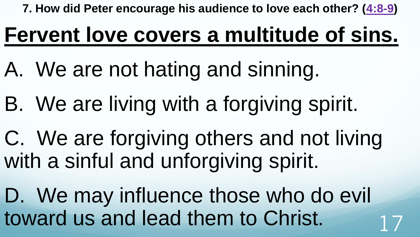**7. How did Peter encourage his audience to love each other? ([4:8-9](http://www.crossbooks.com/verse.asp?ref=1Pe+4%3A8-9))**

## **Fervent love covers a multitude of sins.**

- A. We are not hating and sinning.
- B. We are living with a forgiving spirit.
- C. We are forgiving others and not living with a sinful and unforgiving spirit.
- D. We may influence those who do evil toward us and lead them to Christ.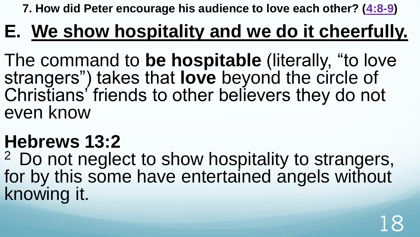**7. How did Peter encourage his audience to love each other? ([4:8-9](http://www.crossbooks.com/verse.asp?ref=1Pe+4%3A8-9))**

#### **E. We show hospitality and we do it cheerfully.**

The command to **be hospitable** (literally, "to love strangers") takes that **love** beyond the circle of Christians' friends to other believers they do not even know

#### **Hebrews 13:2**

<sup>2</sup> Do not neglect to show hospitality to strangers, for by this some have entertained angels without knowing it.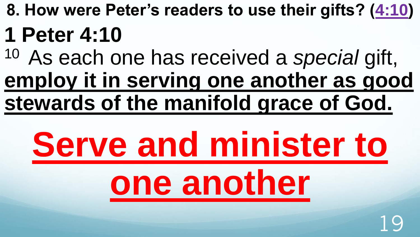- **8. How were Peter's readers to use their gifts? ([4:10\)](http://www.crossbooks.com/verse.asp?ref=1Pe+4%3A10) 1 Peter 4:10**
- <sup>10</sup>As each one has received a *special* gift, **employ it in serving one another as good stewards of the manifold grace of God.**

# **Serve and minister to one another**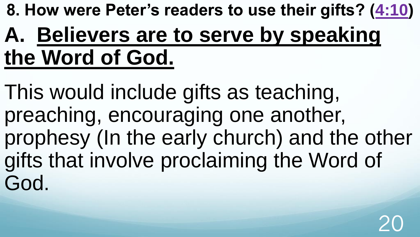**8. How were Peter's readers to use their gifts? ([4:10\)](http://www.crossbooks.com/verse.asp?ref=1Pe+4%3A10)** 

## **A. Believers are to serve by speaking the Word of God.**

This would include gifts as teaching, preaching, encouraging one another, prophesy (In the early church) and the other gifts that involve proclaiming the Word of God.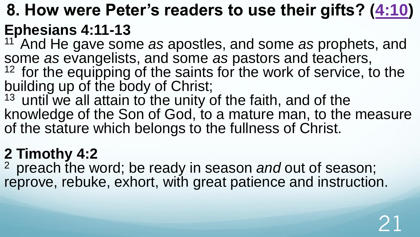#### **8. How were Peter's readers to use their gifts? ([4:10\)](http://www.crossbooks.com/verse.asp?ref=1Pe+4%3A10) Ephesians 4:11-13**

<sup>11</sup> And He gave some *as* apostles, and some *as* prophets, and some *as* evangelists, and some *as* pastors and teachers, <sup>12</sup> for the equipping of the saints for the work of service, to the

building up of the body of Christ;

 $13$  until we all attain to the unity of the faith, and of the knowledge of the Son of God, to a mature man, to the measure of the stature which belongs to the fullness of Christ.

#### **2 Timothy 4:2**

<sup>2</sup> preach the word; be ready in season and out of season; reprove, rebuke, exhort, with great patience and instruction.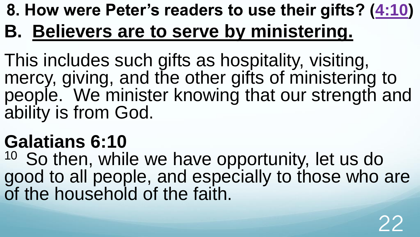#### **8. How were Peter's readers to use their gifts? ([4:10\)](http://www.crossbooks.com/verse.asp?ref=1Pe+4%3A10) B. Believers are to serve by ministering.**

This includes such gifts as hospitality, visiting, mercy, giving, and the other gifts of ministering to people. We minister knowing that our strength and ability is from God.

#### **Galatians 6:10**

<sup>10</sup> So then, while we have opportunity, let us do good to all people, and especially to those who are of the household of the faith.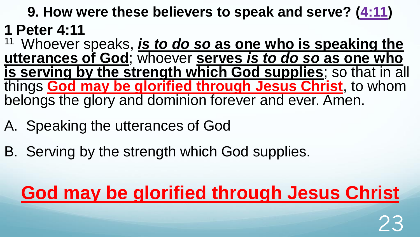#### **9. How were these believers to speak and serve? ([4:11](http://www.crossbooks.com/verse.asp?ref=1Pe+4%3A11)) 1 Peter 4:11**

<sup>11</sup>Whoever speaks, *is to do so* **as one who is speaking the utterances of God**; whoever **serves** *is to do so* **as one who is serving by the strength which God supplies**; so that in all things **God may be glorified through Jesus Christ**, to whom belongs the glory and dominion forever and ever. Amen.

- A. Speaking the utterances of God
- B. Serving by the strength which God supplies.

### **God may be glorified through Jesus Christ**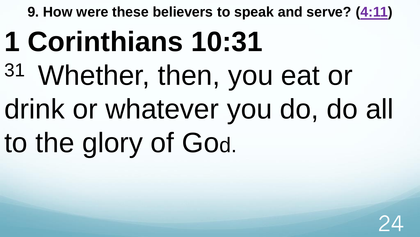**9. How were these believers to speak and serve? ([4:11](http://www.crossbooks.com/verse.asp?ref=1Pe+4%3A11))** 

# **1 Corinthians 10:31**

<sup>31</sup>Whether, then, you eat or drink or whatever you do, do all to the glory of God.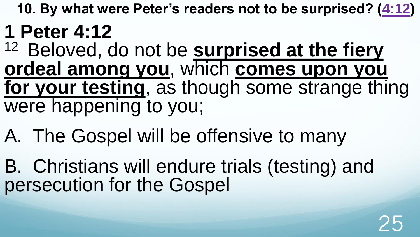**10. By what were Peter's readers not to be surprised? ([4:12\)](http://www.crossbooks.com/verse.asp?ref=1Pe+4%3A12)**

#### **1 Peter 4:12**

- <sup>12</sup> Beloved, do not be **surprised at the fiery ordeal among you**, which **comes upon you for your testing**, as though some strange thing were happening to you;
- A. The Gospel will be offensive to many
- B. Christians will endure trials (testing) and persecution for the Gospel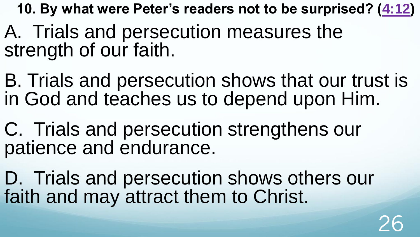**10. By what were Peter's readers not to be surprised? ([4:12\)](http://www.crossbooks.com/verse.asp?ref=1Pe+4%3A12)**

- A. Trials and persecution measures the strength of our faith.
- B. Trials and persecution shows that our trust is in God and teaches us to depend upon Him.
- C. Trials and persecution strengthens our patience and endurance.
- D. Trials and persecution shows others our faith and may attract them to Christ.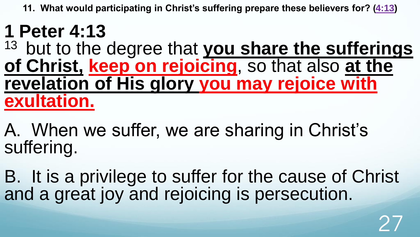**11. What would participating in Christ's suffering prepare these believers for? [\(4:13\)](http://www.crossbooks.com/verse.asp?ref=1Pe+4%3A13)**

#### **1 Peter 4:13**

<sup>13</sup> but to the degree that you share the sufferings **of Christ, keep on rejoicing**, so that also **at the revelation of His glory you may rejoice with exultation.** 

A. When we suffer, we are sharing in Christ's suffering.

B. It is a privilege to suffer for the cause of Christ and a great joy and rejoicing is persecution.

27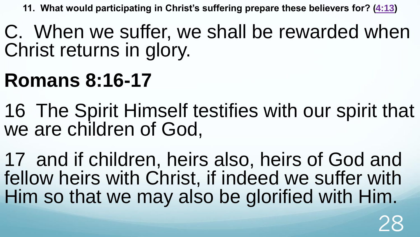**11. What would participating in Christ's suffering prepare these believers for? [\(4:13\)](http://www.crossbooks.com/verse.asp?ref=1Pe+4%3A13)**

C. When we suffer, we shall be rewarded when Christ returns in glory.

#### **Romans 8:16-17**

- 16 The Spirit Himself testifies with our spirit that we are children of God,
- 17 and if children, heirs also, heirs of God and fellow heirs with Christ, if indeed we suffer with Him so that we may also be glorified with Him.

28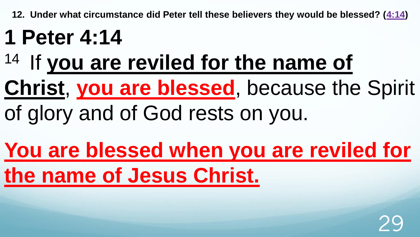**12. Under what circumstance did Peter tell these believers they would be blessed? ([4:14](http://www.crossbooks.com/verse.asp?ref=1Pe+4%3A14))** 

## **1 Peter 4:14**

# <sup>14</sup> If you are reviled for the name of

# **Christ**, **you are blessed**, because the Spirit

of glory and of God rests on you.

# **You are blessed when you are reviled for the name of Jesus Christ.**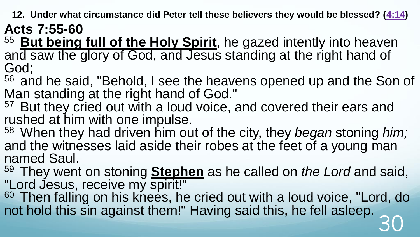**12. Under what circumstance did Peter tell these believers they would be blessed? ([4:14](http://www.crossbooks.com/verse.asp?ref=1Pe+4%3A14))** 

**Acts 7:55-60** 

<sup>55</sup> But being full of the Holy Spirit, he gazed intently into heaven and saw the glory of God, and Jesus standing at the right hand of God;

<sup>56</sup> and he said, "Behold, I see the heavens opened up and the Son of Man standing at the right hand of God."

<sup>57</sup> But they cried out with a loud voice, and covered their ears and rushed at him with one impulse.

<sup>58</sup>When they had driven him out of the city, they *began* stoning *him;* and the witnesses laid aside their robes at the feet of a young man named Saul.

<sup>59</sup>They went on stoning **Stephen** as he called on *the Lord* and said, "Lord Jesus, receive my spirit!"

<sup>60</sup> Then falling on his knees, he cried out with a loud voice, "Lord, do not hold this sin against them!" Having said this, he fell asleep. 30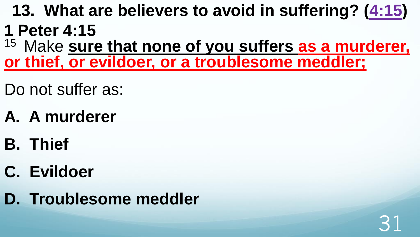- **13. What are believers to avoid in suffering? ([4:15\)](http://www.crossbooks.com/verse.asp?ref=1Pe+4%3A15) 1 Peter 4:15**
- <sup>15</sup> Make sure that none of you suffers as a murderer, **or thief, or evildoer, or a troublesome meddler;**

31

- Do not suffer as:
- **A. A murderer**
- **B. Thief**
- **C. Evildoer**
- **D. Troublesome meddler**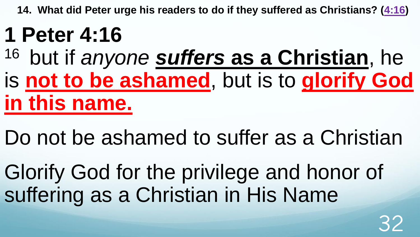**14. What did Peter urge his readers to do if they suffered as Christians? ([4:16\)](http://www.crossbooks.com/verse.asp?ref=1Pe+4%3A16)**

# **1 Peter 4:16**

- <sup>16</sup> but if *anyone suffers* **as a Christian**, he is **not to be ashamed**, but is to **glorify God in this name.**
- Do not be ashamed to suffer as a Christian

Glorify God for the privilege and honor of suffering as a Christian in His Name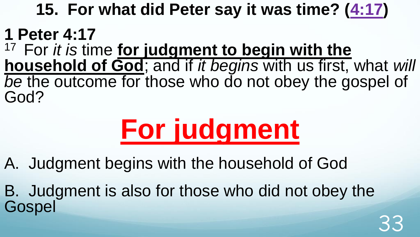#### **15. For what did Peter say it was time? ([4:17\)](http://www.crossbooks.com/verse.asp?ref=1Pe+4%3A17)**

#### **1 Peter 4:17**

<sup>17</sup> For *it is* time **for judgment to begin with the household of God**; and if *it begins* with us first, what *will be* the outcome for those who do not obey the gospel of God?

# **For judgment**

A. Judgment begins with the household of God

B. Judgment is also for those who did not obey the **Gospel** 33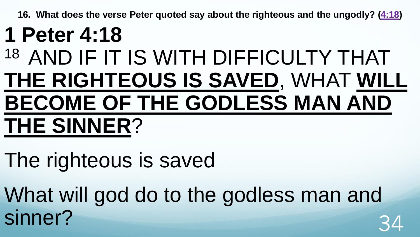**16. What does the verse Peter quoted say about the righteous and the ungodly? [\(4:18](http://www.crossbooks.com/verse.asp?ref=1Pe+4%3A18))** 

### **1 Peter 4:18** 18 AND IF IT IS WITH DIFFICULTY THAT **THE RIGHTEOUS IS SAVED**, WHAT **WILL BECOME OF THE GODLESS MAN AND THE SINNER**?

The righteous is saved

What will god do to the godless man and sinner?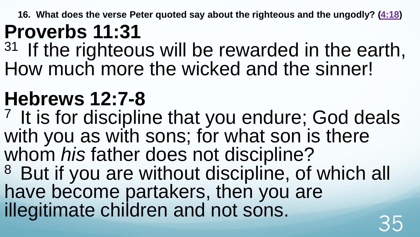**16. What does the verse Peter quoted say about the righteous and the ungodly? [\(4:18](http://www.crossbooks.com/verse.asp?ref=1Pe+4%3A18))** 

#### **Proverbs 11:31**

 $31$  If the righteous will be rewarded in the earth, How much more the wicked and the sinner!

## **Hebrews 12:7-8**

<sup>7</sup> It is for discipline that you endure; God deals with you as with sons; for what son is there whom *his* father does not discipline? <sup>8</sup> But if you are without discipline, of which all have become partakers, then you are illegitimate children and not sons.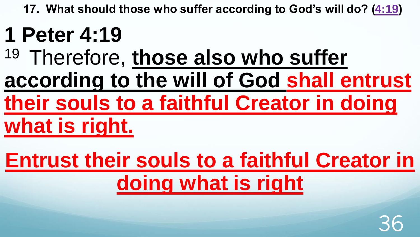**17. What should those who suffer according to God's will do? [\(4:19\)](http://www.crossbooks.com/verse.asp?ref=1Pe+4%3A19)** 

# **1 Peter 4:19**

- <sup>19</sup> Therefore, those also who suffer **according to the will of God shall entrust their souls to a faithful Creator in doing**
- **what is right.**
- **Entrust their souls to a faithful Creator in doing what is right**